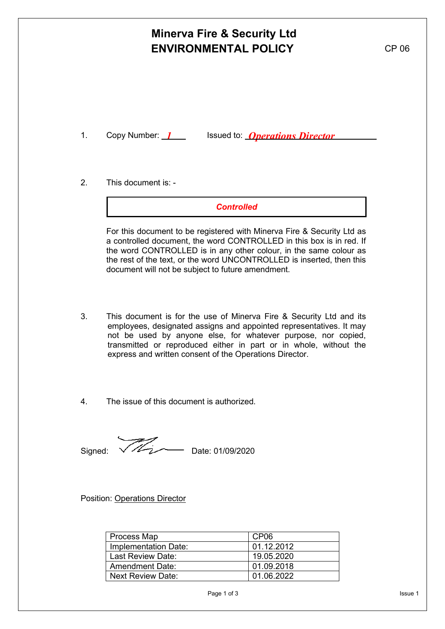# **Minerva Fire & Security Ltd ENVIRONMENTAL POLICY** CP 06

1. Copy Number: 1 Sisued to: **Operations Director** 

2. This document is: -

*Controlled*

For this document to be registered with Minerva Fire & Security Ltd as a controlled document, the word CONTROLLED in this box is in red. If the word CONTROLLED is in any other colour, in the same colour as the rest of the text, or the word UNCONTROLLED is inserted, then this document will not be subject to future amendment.

- 3. This document is for the use of Minerva Fire & Security Ltd and its employees, designated assigns and appointed representatives. It may not be used by anyone else, for whatever purpose, nor copied, transmitted or reproduced either in part or in whole, without the express and written consent of the Operations Director.
- 4. The issue of this document is authorized.

Signed:  $\sqrt{\frac{2}{2}}$  Date: 01/09/2020

Position: Operations Director

| Process Map            | CP <sub>06</sub> |
|------------------------|------------------|
| Implementation Date:   | 01.12.2012       |
| l Last Review Date:    | 19.05.2020       |
| <b>Amendment Date:</b> | 01.09.2018       |
| l Next Review Date: I  | 01.06.2022       |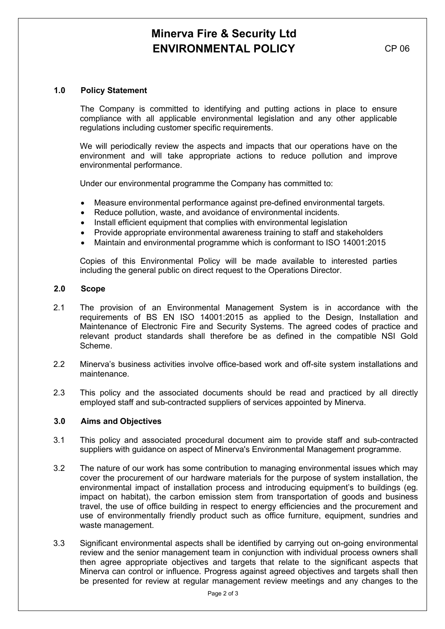# **Minerva Fire & Security Ltd ENVIRONMENTAL POLICY** CP 06

## **1.0 Policy Statement**

The Company is committed to identifying and putting actions in place to ensure compliance with all applicable environmental legislation and any other applicable regulations including customer specific requirements.

We will periodically review the aspects and impacts that our operations have on the environment and will take appropriate actions to reduce pollution and improve environmental performance.

Under our environmental programme the Company has committed to:

- Measure environmental performance against pre-defined environmental targets.
- Reduce pollution, waste, and avoidance of environmental incidents.
- Install efficient equipment that complies with environmental legislation
- Provide appropriate environmental awareness training to staff and stakeholders
- Maintain and environmental programme which is conformant to ISO 14001:2015

Copies of this Environmental Policy will be made available to interested parties including the general public on direct request to the Operations Director.

### **2.0 Scope**

- 2.1 The provision of an Environmental Management System is in accordance with the requirements of BS EN ISO 14001:2015 as applied to the Design, Installation and Maintenance of Electronic Fire and Security Systems. The agreed codes of practice and relevant product standards shall therefore be as defined in the compatible NSI Gold Scheme.
- 2.2 Minerva's business activities involve office-based work and off-site system installations and maintenance.
- 2.3 This policy and the associated documents should be read and practiced by all directly employed staff and sub-contracted suppliers of services appointed by Minerva.

## **3.0 Aims and Objectives**

- 3.1 This policy and associated procedural document aim to provide staff and sub-contracted suppliers with guidance on aspect of Minerva's Environmental Management programme.
- 3.2 The nature of our work has some contribution to managing environmental issues which may cover the procurement of our hardware materials for the purpose of system installation, the environmental impact of installation process and introducing equipment's to buildings (eg. impact on habitat), the carbon emission stem from transportation of goods and business travel, the use of office building in respect to energy efficiencies and the procurement and use of environmentally friendly product such as office furniture, equipment, sundries and waste management.
- 3.3 Significant environmental aspects shall be identified by carrying out on-going environmental review and the senior management team in conjunction with individual process owners shall then agree appropriate objectives and targets that relate to the significant aspects that Minerva can control or influence. Progress against agreed objectives and targets shall then be presented for review at regular management review meetings and any changes to the